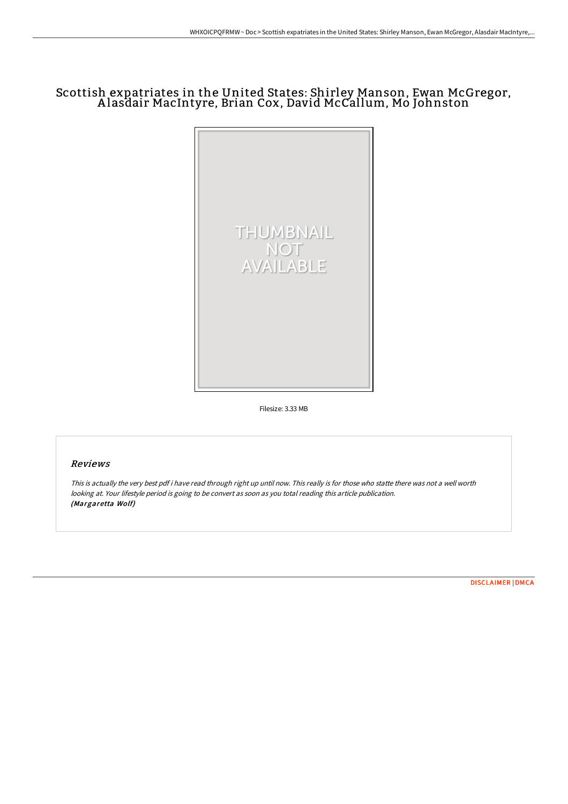# Scottish expatriates in the United States: Shirley Manson, Ewan McGregor, A lasdair MacIntyre, Brian Cox, David McCallum, Mo Johnston



Filesize: 3.33 MB

# Reviews

This is actually the very best pdf i have read through right up until now. This really is for those who statte there was not <sup>a</sup> well worth looking at. Your lifestyle period is going to be convert as soon as you total reading this article publication. (Margaretta Wolf)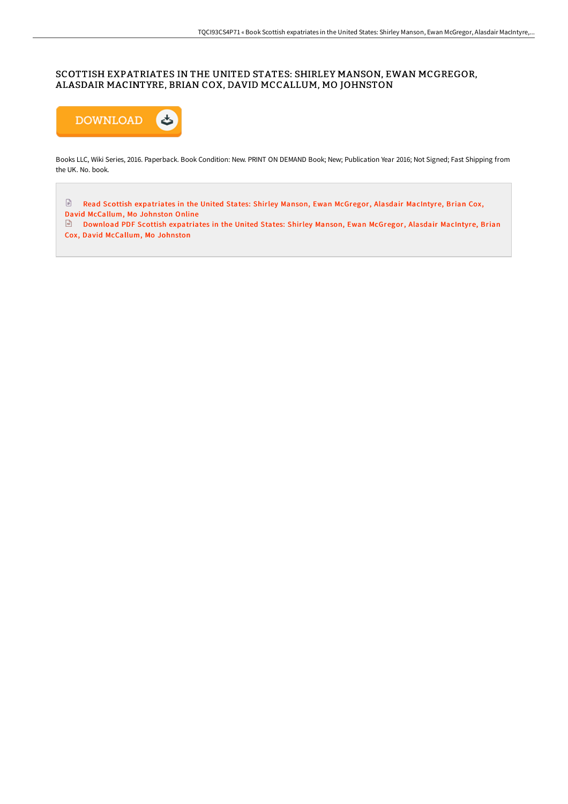### SCOTTISH EXPATRIATES IN THE UNITED STATES: SHIRLEY MANSON, EWAN MCGREGOR, ALASDAIR MACINTYRE, BRIAN COX, DAVID MCCALLUM, MO JOHNSTON



Books LLC, Wiki Series, 2016. Paperback. Book Condition: New. PRINT ON DEMAND Book; New; Publication Year 2016; Not Signed; Fast Shipping from the UK. No. book.

 $\ensuremath{\mathop{\boxtimes}^{\mathbb{D}}}$ Read Scottish [expatriates](http://techno-pub.tech/scottish-expatriates-in-the-united-states-shirle.html) in the United States: Shirley Manson, Ewan McGregor, Alasdair MacIntyre, Brian Cox, David McCallum, Mo Johnston Online

Download PDF Scottish [expatriates](http://techno-pub.tech/scottish-expatriates-in-the-united-states-shirle.html) in the United States: Shirley Manson, Ewan McGregor, Alasdair MacIntyre, Brian Cox, David McCallum, Mo Johnston